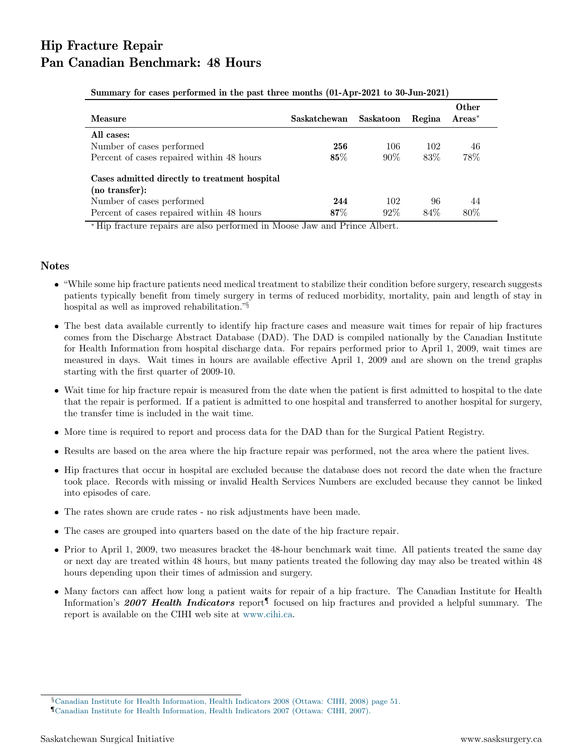## Hip Fracture Repair Pan Canadian Benchmark: 48 Hours

| Measure                                                                                                                                       | Saskatchewan  | Saskatoon     | Regina      | Other<br>$Area*$ |  |
|-----------------------------------------------------------------------------------------------------------------------------------------------|---------------|---------------|-------------|------------------|--|
| All cases:<br>Number of cases performed<br>Percent of cases repaired within 48 hours                                                          | 256<br>$85\%$ | 106<br>$90\%$ | 102<br>83\% | 46<br>78%        |  |
| Cases admitted directly to treatment hospital<br>$(no\ transfer)$ :<br>Number of cases performed<br>Percent of cases repaired within 48 hours | 244<br>$87\%$ | 102<br>$92\%$ | 96<br>84\%  | 44<br>80%        |  |

Summary for cases performed in the past three months (01-Apr-2021 to 30-Jun-2021)

<sup>∗</sup> Hip fracture repairs are also performed in Moose Jaw and Prince Albert.

## Notes

- "While some hip fracture patients need medical treatment to stabilize their condition before surgery, research suggests patients typically benefit from timely surgery in terms of reduced morbidity, mortality, pain and length of stay in hospital as well as improved rehabilitation."§
- The best data available currently to identify hip fracture cases and measure wait times for repair of hip fractures comes from the Discharge Abstract Database (DAD). The DAD is compiled nationally by the Canadian Institute for Health Information from hospital discharge data. For repairs performed prior to April 1, 2009, wait times are measured in days. Wait times in hours are available effective April 1, 2009 and are shown on the trend graphs starting with the first quarter of 2009-10.
- Wait time for hip fracture repair is measured from the date when the patient is first admitted to hospital to the date that the repair is performed. If a patient is admitted to one hospital and transferred to another hospital for surgery, the transfer time is included in the wait time.
- More time is required to report and process data for the DAD than for the Surgical Patient Registry.
- Results are based on the area where the hip fracture repair was performed, not the area where the patient lives.
- Hip fractures that occur in hospital are excluded because the database does not record the date when the fracture took place. Records with missing or invalid Health Services Numbers are excluded because they cannot be linked into episodes of care.
- The rates shown are crude rates no risk adjustments have been made.
- The cases are grouped into quarters based on the date of the hip fracture repair.
- Prior to April 1, 2009, two measures bracket the 48-hour benchmark wait time. All patients treated the same day or next day are treated within 48 hours, but many patients treated the following day may also be treated within 48 hours depending upon their times of admission and surgery.
- Many factors can affect how long a patient waits for repair of a hip fracture. The Canadian Institute for Health Information's 2007 Health Indicators report<sup>1</sup> focused on hip fractures and provided a helpful summary. The report is available on the CIHI web site at [www.cihi.ca.](http://www.cihi.ca)

<sup>§</sup>[Canadian Institute for Health Information, Health Indicators 2008 \(Ottawa: CIHI, 2008\) page 51.](https://secure.cihi.ca/free_products/HealthIndicators2008_ENGweb.pdf)

<sup>¶</sup>[Canadian Institute for Health Information, Health Indicators 2007 \(Ottawa: CIHI, 2007\).](https://secure.cihi.ca/free_products/hi07_health_indicators_2007_e.pdf)